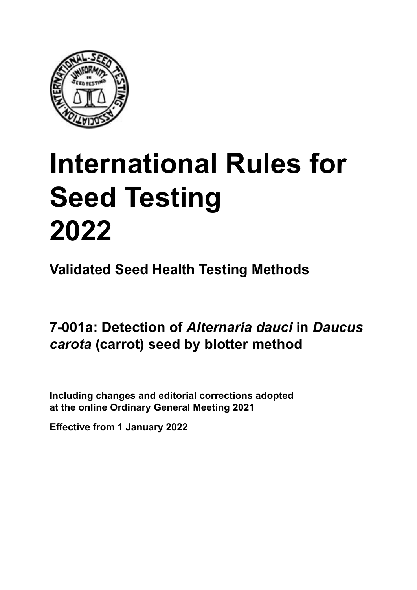

# **International Rules for Seed Testing von Saatgut 2022 2022 Semences 2022 International Rules for Seed Testing 2022**

**Métodos Validados para Análisis de Sanidad de Semillas Validate Méthodes Validées pour Analyse Sanitaire des Semences Validated Seed Health Testing Methods**

**7-001a: Detección de** *Alternaria dauci* **en semillas 7-001a: Filterpapier-Methode für den Nachweis Méthode sur buvard pour la détection de** *Daucus carota* **(zanahoria) por el método del papels** four order **von** *Alternaria dauci* **an Samen von** *Daucus carota* **(Möhre) d'***Alternaria dauci* **sur semences de** *Daucus carota* **(carotte) 7-001a: Detection of** *Alternaria dauci* **in** *Daucus carota* **(carrot) seed by blotter method**

Including changes and editorial corrections adopted at the online Ordinary General Meeting 2021

**Effective from 1 January 2022**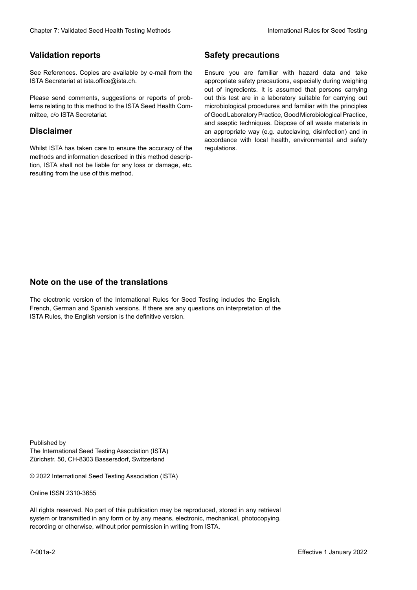### **Validation reports**

See References. Copies are available by e-mail from the<br>ISTA Secretariat at ista.office@ista.ch. ISTA Secretariat at ista.office@ista.ch.

lems relating to this method to the ISTA Seed Health Com-<br>mittee, c/o ISTA Secretariat. mittee, c/o ISTA Secretariat.<br>i Please send comments, suggestions or reports of prob-

## **Limitation de responsabilité Disclaimer**

Whilst ISTA has taken care to ensure the accuracy of the<br>methods and information described in this method description, ISTA shall not be liable for any loss or damage, etc.<br>resulting from the use of this method.<br>. resulting from the use of this method. Whilst ISTA has taken care to ensure the accuracy of the methods and information described in this method descrip-<br>tion, ISTA shall not be liable for any loss or damage, etc. tion, ISTA shall not be liable for any loss or damage, etc.<br>resulting from the use of this method.

### **Medidas de seguridad Sicherheitsmaßnahmen Sécurité Safety precautions**

Ensure you are familiar with hazard data and take Ensure you are familiar with hazard data and take<br>appropriate safety precautions, especially during weighing out of ingredients. It is assumed that persons carrying out this test are in a laboratory suitable for carrying out microbiological procedures and familiar with the principles of Good Laboratory Practice, Good Microbiological Practice, and aseptic techniques. Dispose of all waste materials in an appropriate way (e.g. autoclaving, disinfection) and in accordance with local health, environmental and safety regulations. Glade 7: Validated Deed Health Testing holes by Safety precedutions<br>
Validation reports<br>
Safety precedution reports<br>
Safety precedutions and the validation of the system of the same of the based dels and share<br>
Propose and microbiological procedures and familiar with the principles<br>of Good Laboratory Practice, Good Microbiological Practice,<br>and aseptic techniques. Dispose of all waste materials in<br>an appropriate way (e.g. autoclaving, disinf fallstoffe sind auf geeignete Weise und entsprechend der vor Ort über der vor Ort über und Umwelt- und Umwelt-<br>Eine und Umwelt-Effective Counter of Nicolastic Counter of Nicolastic Counter of Nicolastic Counter of Nicolastic Counter Méthodes validations of the Counter Méthodes validations of the Counter of Nicolastic Counter Méthodes validations o of Good Laboratory Practice, Good Microbiological Practice,<br>and aseptic techniques. Dispose of all waste materials in<br>an appropriate way (e.g. autoclaving, disinfection) and in Validation reports<br>
Since The Texture 1988 and the system of the Since Theorem and the Since Theorem and the system of the Since The Since The Since The Since The Since The Since The Since The Since The Since The Since The Ensure you are familiar with hazard data and take<br>appropriate safety precautions, especially during weighing<br>out of ingredients. It is assumed that persons carrying<br>out this test are in a laboratory suitable for carrying o

## **Nota sobre el uso de traducciones Anmerkung zur Benutzung der Übersetzungen Note on the use of the translations**

The electronic version of the International Rules for Seed Testing includes the English, French, German and Spanish versions. If there are any questions on interpretation of the ISTA Rules, the English version is the definitive version. The electronic version of the International Rules for Seed Testing includes the English,<br>French, German and Spanish versions. If there are any questions on interpretation of the<br>ISTA Rules, the English version is the defin The electronic version of the International Rules for Seed Testing includes the English,<br>French, German and Spanish versions. If there are any questions on interpretation of the

Published by **Extending Association (ISTA)** The International Seed Testing Association (ISTA) Zürichstr. 50, CH-8303 Bassersdorf, Switzerland

© 2022 International Seed Testing Association (ISTA)

Alle Rechte vorbehalten. Kein Teil dieses Werkes darf in irgendwelcher Form oder durch Online ISSN 2310-3655

All rights reserved. No part of this publication may be reproduced, stored in any retrieval All rights reserved. No part of this publication may be reproduced, stored in any retrieval<br>system or transmitted in any form or by any means, electronic, mechanical, photocopying,<br>recording or otherwise, without prior per recording or otherwise, without prior permis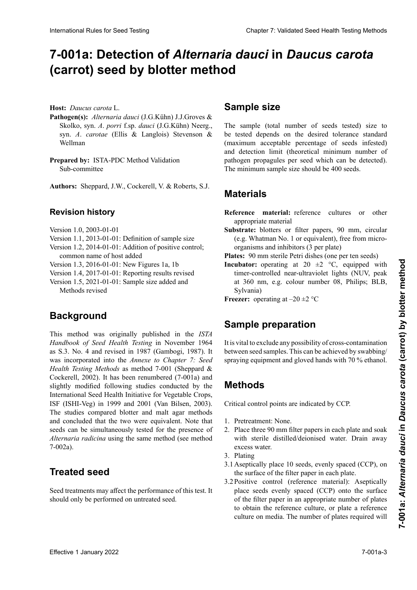# 7-001a: Detection of *Alternaria dauci* in *Daucus carota* (carrot) seed by blotter method

**Wirtspflanze:** *Daucus carota* L. **Host:** *Daucus carota* L.

- Pathogen(s): Alternaria dauci (J.G.Kühn) J.J.Groves & Skolko, syn. A. porri f.sp. dauci (J.G.Kühn) Neerg., syn. A. carotae (Ellis & Langlois) Stevenson & Wellman syn. *A*. *carotaeries* (Ellis & Langlois) Stevenson & Langloise Stevenson & Langloise Stevenson & Langloise Stevenson & Langloise Stevenson & Langloise Stevenson & Langloise Stevenson & Langloise Stevenson & Langloise Ste
- **Prepared by:** ISTA-IDC Method Vandation Sub-committee Prepared by: ISTA-PDC Method Validation Sub-committee Sub-committee **Préparé par :** Sous-Comité de Validation des Méthodes

**Autores:** Sheppard, J.W., Cockerell, V. & Roberts, S.J. **Autoren:** Sheppard, J. W., Cockerell, V. & Roberts, S. J.,  $\sum_{i=1}^{\infty}$  is  $\sum_{i=1}^{\infty}$  Sub-comparent Sub-committee Sub-committee Sub-committee Sub-committee Sub-committee Sub-committee Sub-committee Sub-committee Sub-committee Sub-committee Sub-committee Sub-committee Sub-co Authors: Sheppard, J.W., Cockerell, V. & Roberts, S.J.

# **Historial de revisiones Revisionsstand Revision history**

Versión 1.0, 2003-01-01 Version **Historique de la révision** Version 1.0, 2003-01-01

- Version 1.1, 2013-01-01: Definition of sample size
- Version 1.2, 2014-01-01: Addition of positive control; common name of host added
- Version 1.3, 2016-01-01: New Figures 1a, 1b

Version 1.4, 2017-01-01: Reporting results revised

Version 1.5, 2021-01-01: Sample size added and Methods revised

#### **Antecedentes Hintergrund** Version 1.5, 2021-01-01 : Ajout de « Taille de l'échantil-Background

Este método fue publicado originalmente en *ISTA Hand-*Die Methode ist im Original zunächst veröffentlicht wor-**Historique** *Handbook of Seed Health Testing* in November 1964 as S.3. No. 4 and revised in 1987 (Gambogi, 1987). It was incorporated into the Annexe to Chapter 7: Seed Health Testing Methods as method 7-001 (Sheppard & Cockerell 2002) It has been renumbered (7-001a) and Cockerell, 2002). It has been renumbered  $(7-001a)$  and<br>slightly modified following studies conducted by the slightly modified following studies conducted by the International Seed Health Initiative for Vegetable Crops,<br>ISE (ISHL-Veg) in 1999 and 2001 (Van Bilsen, 2003) ISF (ISHI-Veg) in 1999 and 2001 (Van Bilsen, 2003).<br>The studies compared blotter and malt agar methods. The studies compared blotter and malt agar methods and concluded that the two were equivalent. Note that and concluded that the two were equivalente from that  $\epsilon$ en cuenta que la semina de semina puede de  $\epsilon$  analizadas simultáneamente para detectar la presencia de *Alternaria radicina*   $\binom{100\text{Za}}{6}$ . gleicher van de genutzt werden. Beachte: Saatgut kann pa-Alternaria radicina using the same method (see method 7-002a).  $t$ - $\sigma$ 2a). and concluded that the two were equivalent. Note that<br>seeds can be simultaneously tested for the presence of blancation Relieve to the set of the Control Counter Counter Control Control Counter Counter Counter Counter Counter Counter Counter Counter Counter Counter Counter Counter Counter Counter Counter Counter Counter Counter This method was originally published in the *ISTA* 7-002a).

#### **Semilla tratada Behandeltes (gebeiztes) Saatgut Treated seed**

Seed treatments may affect the performance of this test. It should only be performed on untreated seed.

#### **Tampic dine Sample size**

be tested depends on the desired tolerance standard (maximum acceptable percentage of seeds infested) and detection limit (theoretical minimum number of mine decedent mine (inceredent minimum número et pathogen propagules per seed which can be detected). patrogen propáguros per seca winen eun oc detectou). por secundario mínimo de muestra de muestra de muestra de muestra de muestra de muestra de muestra de muestra de muestra de muestra de muestra de muestra de muestra de muestra de muestra de muestra de muestra de muestra de The sample (total number of seeds tested) size to patrogen propagares per social which can be accessed. me minimum pathogène propagates per secure minimum taille détectées).<br>The minimum sample size should be 400 seeds.

#### **Material Materials**

**Materiales Material** de referencia un otro materialien de referencia un otro ma-**Reference material:** reference cultures or other

Substrate: blotters or filter papers, 90 mm, circular **Substrate:** biotters or filter papers, 90 mm, circular (e.g. Whatman No. 1 or equivalent), free from microorganisms and inhibitors (3 per plate) (e.g. whatman No. 1 or equivalent), free from micro-<br>organisms and inhibitors (3 per plate)<br>**Plates:** 90 mm sterile Petri dishes (one per ten seeds)

**Incubator:** operating at 20  $\pm$ 2 °C, equipped with timer-controlled near-ultraviolet lights (NUV, peak timer-controlled near-ultraviolet lights (NUV, peak<br>at 360 nm, e.g. colour number 08, Philips; BLB, paras de luz ultravioleta-cercano (NUV, con un pico en 360 nm; z. B. Farbnummer 08, Philips; BLB, Sylvania). Sylvania) **Example de maintenir de marin une de Sylvania)<br><b>Freezer:** operating at  $-20 \pm 2$  °C

**Freezer:** operating at  $-20 \pm 2$  °C. **Freezer:** operating at  $-20 \pm 2$  °C

## **Sample preparation**

It is vital to exclude any possibility of cross-contamination spraying equipment and gloved hands with 70 % ethanol. between seed samples. This can be achieved by swabbing/

# **realisé en essussiyant de trabajo.**<br> **Methods**

**Militar** Collin **Critical** control **m** Critical control points are indicated by CCP.

- 1. Pretreatment: None.
- 2. Place three 90 mm filter papers in each plate and soak with sterite districts at  $2. \text{P1}$ .  $1.$  Three three  $50$  mm measurements. with sterile distilled/deionised water. Drain away Places traditions filtres de 90 mm de 90 mm de 90 mm de diamètre dans de 90 mm de 1910 de 1910 de 1910 de diamètre dans de 1910 de 1910 de 1910 de 1910 de 1910 de 1910 de 1910 de 1910 de 1910 de 1910 de 1910 de 1910 de 191 excess water.
- 3. Plating
- $\frac{1}{2}$  humedecer agua destilada estéril.  $\frac{1}{2}$  agua destilada estéril.  $\frac{1}{2}$  agua destil. Aseptically place to see the surface of the filter paper in each plate. (90 mit sterilem destilling destilling befeure befeure befeure befeure befeure before abgiegen. Uberschüssige<br>Eine der Wasser abgießen. Wasser abgießen. Wasser abgießen. Wasser abgießen. Wasser abgießen. Wasser abgießen 3.1 Aseptically p  $r_{\text{t}}$  des boïtes des boïtes de la visite de l'eau distinction de la visite de la visite de la visite de la visite de la visite de la visite de la visite de la visite de la visite de la visite de la visite de la visite 3.1 Aseptically place 10 seeds, evenly spaced (CCP), on
- 3.2 Positive control (reference material): Aseptically place seeds evenly spaced (CCP) onto the surface of the filter paper in an appropriate number of plates to obtain the reference culture, or plate a reference culture on media. The number of plates required will to obtain the reference culture, or plate a reference<br>culture on media. The number of plates required will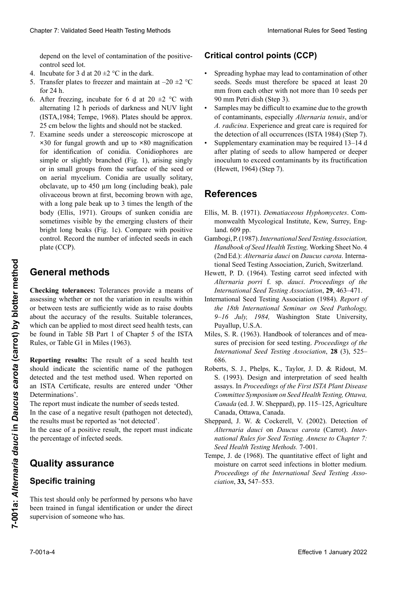depend on the level of contamination of the positive-<br>control seed lot. control seed lot.

- 4. Incubate for 3 d at  $20 \pm 2$  °C in the dark.
- 5. Transfer plates to freezer and maintain at  $-20 \pm 2$  °C  $\int$  for 24 h. Incubate for 3 d at  $20 \pm 2$  °C in the dark.<br>Transfer plates to freezer and maintain at  $-20 \pm 2$  °C<br>for 24 h. 5. Transfer plates to freezer and maintain at  $-20 \pm 2$  °C
- 6. After freezing, incubate for 6 d at 20  $\pm$ 2 °C with alternating 12 h periods of darkness and NUV light<br>(ISTA 1984: Tempe 1968) Plates should be approx (ISTA,1984; Tempe, 1968). Plates should be approx. 25 cm below the lights and should not be stacked.
- $\overline{\text{F}}$ vamine seeds under a stereoscopic microscope at **×30** for fungal growth and up to **×80** magnification for identification of conidia. Conidiophores are simple or slightly branched (Fig. 1), arising singly or in small groups from the surface of the seed or or in sinan groups nom are sarrace or the seed or<br>on aerial mycelium. Conidia are usually solitary, obclavate, up to 450 µm long (including beak), pale  $\frac{1}{2}$  fig. 1, creament  $\frac{1}{2}$  fig. 1, creament per person per person per person per person per person per person per person per person per person per person per person per person per person per person per person pe polivaceous brown at first, becoming brown with age, with a long pale beak up to 3 times the length of the body (Ellis, 1971). Groups of sunken conidia are sometimes visible by the emerging clusters of their bright long beaks (Fig. 1c). Compare with positive control. Record the number of infected seeds in each plate (CCP). Clearing 7: Validierte Des Freirs international Clear Freirs ab Technology (1) and the clear Freirs ab the control of the control of the control of the control of the control of the control of the control of the control o 25 cm below the lights and should not be stacked.<br>Examine seeds under a stereoscopic microscope at  $\times$ 30 for fungal growth and up to  $\times$ 80 magnification Chaos 7 Voldskei Seel Health Toring Models<br>
Unterstand River to See Health<br>
doposition in the same of the color of the color of the same of the same of the same of the same of the same of the same of the same of the same 7. Examine seeds under a stereoscopic microscope at

#### emergentes de sus puntas largas y brillantes (Fig. 1c). eneral metnous scheln langer Fortsätze erkannt werden (Abb. 1c). Mit Positivkontrolle vergleichen. Anzahl infizierter Samen **General methods**

or between tests are sufficiently wide as to raise doubts which can be applied to most direct seed health tests, can<br>be found in Table 5B Part 1 of Chapter 5 of the ISTA be found in Table 5B Part 1 of Chapter 5 of the ISTA Rules, or Table G1 in Miles (1963). assessing whether or not the variation in results within about the accuracy of the results. Suitable tolerances, EFFECTIVE CONDITION to the entropies of the car of a properties are the set of a positive result of the car of the car of the car of the car of the car of the car of the car of the car of the car of the car of the car of **Checking tolerances:** Tolerances provide a means of

**Reporting results:** The result of a seed health test<br>should indicate the scientific name of the pathogen<br>detected and the test method used. When reported on<br>an ISTA Certificate results are entered under 'Other should indicate the scientific name of the pathogen detected and the test method used. When reported on an ISTA Certificate, results are entered under 'Other Determinations'.

In the case of a negative result (pathogen not detected), nidad de semillas de semillas de semillas de participat de la participat de la participat de la participat de<br>the results must be reported as 'not detected'. The report must indicate the number of seeds tested.

the results must be reported us not detected: the results must be reported as 'not detected'.<br>In the case of a positive result, the report must indicate the percentage of infected seeds.

#### $\bigcap_{i=1}^n$ itu analiz En el caso de un resultado negativo (patógeno no de- $\Omega$ uality accurance wuunty ussurance Dans le cas d'un résultat négatif (pathogène non détecté), les résultats doivent être rapportés comme « non détecté ». Dans le cas d'un résultat positif, le rapport doit indiquer le pourcentage de semences infectées. **Quality assurance**

#### $\theta$  is a step in formados como 'normados como 'normados como 'normados como 'normados como 'normados como 'normados como 'normados como 'normados como 'normados como 'normados como 'normados como 'normados como 'normados opecnic nachgewiesen" berichtet werden. Im Falle eines positiven Ergebnisses sollte der Prüfbericht **Specific training**

En el caso de un resultado positivo, el informe debe indicar I his test should only be performed. den Prozentsatz infizierter Samen angeben. This test should only be performed by persons who have been trained in fungal identification or under the direct supervision of someone who has.

## **Critical control points (CCP)**

- Spreading hyphae may lead to contamination of other mm from each other with not more than 10 seeds per<br>90 mm Petri dish (Step 3). 90 mm Petri dish (Step 3). seeds. Seeds must therefore be spaced at least 20
- Samples may be difficult to examine due to the growth **Puntos críticos de control (PCC) Points critiques de contrôle (CCP)** the detection of all occurrences (ISTA 1984) (Step 7). of contaminants, especially *Alternaria tenuis*, and/or *A. radicina*. Experience and great care is required for
- expressed and contain the major croissance of the after plating of seeds to allow hampered or deeper nation prating of securities in and hampered of acceptation inoculum to exceed contaminants by its fructification  $\epsilon$ espaciadas por lo manufacionadas en la medida de otras de otras  $\epsilon$ , con no medida de otras de otras de otras de otras de otras de otras de otras de otras de otras de otras de otras de otras de otras de otras de otra  $\frac{100}{20}$  semillar por place  $\frac{100}{20}$ • Supplementary examination may be required 13–14 d  $t_1$ tion anderer Samen führen. Dessainten. Dessainten au modern  $t_1$  muss de 20 mm les unes de 20 mm les unes de 20 mm les unes de 20 mm les unes de 20 mm les unes de 20 mm les unes de 20 mm les unes de 20 mm les unes d  $\frac{d}{dt}$ (Hewett, 1964) (Step 7).

#### • Las muestras pueden ser difíciles de evaluar debi-pro Petrischale (90 mm) auslegen (Schritt 2). • Les échantillons peuvent être difficiles à noter à **References** do al crecimiento de contaminantes, especialmente • Aufgrund des Wachstums von anderen Pilzen ist biscause de saprophytes particulièrement de saprophytes particulièrement de saprophytes par la prophytes particul<br>Cause de saprophytes par la prophytes par la prophytes par la prophytes par la prophytes par la prophytes par

- *Alternaria tenuis* y/o *Alternaria radicina*. Se requiere experiencia y un grand cuidado para la detección de tomonwealth Mycological Institute, Kew, Surrey, Eng- $\alpha$  and  $\alpha$  by pp.  $\mathcal{H} \sim 40$ <sup>m</sup>ig treten hier and  $\mathcal{H}$ *Alternaria Little Lemanaceous ryphomyceles.* Com- $\lambda$  1994). *Alternaria tenuis*, et/ou *A. radicina*. De l'expérience Ellis, M. B. (1971). *Dematiaceous Hyphomycetes*. Com- $\mu$ und  $\mu$
- mbogi, P. (1987). International Seed Testing Association, Gambogi, P. (1987). International Seed Testing Association,<br>Handbook of Seed Health Testing, Working Sheet No. 4 (2nd Ed.): *Alternaria dauci* on *Daucus carota*. International Seed Testing Association, Zurich, Switzerland. Gambogi, P. (1987). *International Seed Testing Association*,
- Hewett, P. D. (1964). Testing carrot seed infected with **Références** *Alternaria porri* f. sp. *dauci*. *Proceedings of the International Seed Testing Association*, **29**, 463–471.
- International Seed Testing Association (1984). *Report of* 9–16 July, 1984, Washington State University, Puyallup, U.S.A. the 18th International Seminar on Seed Pathology,
- Miles, S. R. (1963). Handbook of tolerances and of measures of precision for seed testing. *Proceedings of the*<br>*International Seed Testing Association*, **28** (3), 525–<br>686. International Seed Testing Association, 28 (3), 525– Working Sheet N° . 4 (2nd Ed.): *Alternaria dauci* on  $686.$ 686.
- Roberts, S. J., Phelps, K., Taylor, J. D. & Ridout, M.<br>S. (1993). Design and interpretation of seed health S. (1993). Design and interpretation of seed health assays. In *Proceedings of the First ISTA Plant Disease*<br>Committee Symposium on Seed Health Testing, Ottawa,<br>Canada (ed. J. W. Sheppard), pp. 115–125, Agriculture *Alternaria porri* f. sp. *dauci*. *Proceedings of the Committee Symposium on Seed Health Testing, Ottawa, International Seed Testing Association*, **29**, 463–471. International Seed Testing Association (1984). *Report of Canada* (ed. J. W. Sheppard), pp. 115–125, Agriculture International Seed Testing Association (1984). *Report of*  Canada, Ottawa, Canada.
- *the 18th International Seminari Seminari Seminari Seminari Seminari Seminari Seminari Seminari Seminari Seminari Se* Alternaria dauci on Daucus carota (Carrot). Inter*nternaria dater* on *Ballets* carbia (editor). *International Rules for Seed Testing. Annexe to Chapter 7:* Miles, S. R. (1963). Handbook of tolerances and of mea-sures of precision for seed testing. *Proceedings of the*  686. *Seed Health Testing Methods.* 7-001. *the 18th International Seminar on Seminar on Seminar on Seminar on Seminar on Seminar on Sergenational State University, Putar on Demonstration State University, Putar on Demonstration State University, Putar on Demonstra* Sheppard, J. W. & Cockerell, V. (2002). Detection of
- seed Health Testing *methods*. *P*-901.<br>*Precise for seed the <sup>1</sup>/2 methods* of the *PP-1* methods of the *PP-1* methods of the *PP-1* methods of the *PP-1* methods of the *PP-1* methods of the *PP-1* methods of the *PP-1 IPC*, *J. ac* (1900). The quantitative effect of fight and moisture on carrot seed infections in blotter medium. rroceeaings of the international seed festing Asso $ciation, 33, 547–553.$ *I*<sub>2</sub> (3), *I*<sub>2</sub> (3), *I*<sub>2</sub> (3), *P*<sub>2</sub> (3), *P*<sub>3</sub> (3), <sup>1</sup><sup>2</sup> (3), <sup>2</sup><sup>6</sup> (3), <sup>1</sup><sup>2</sup> (3), <sup>1</sup><sup>2</sup> (3), <sup>1</sup><sup>2</sup> (3), <sup>1</sup><sup>2</sup> (3), <sup>1</sup><sup>2</sup> (3), <sup>1</sup><sup>2</sup> (3), <sup>1</sup><sup>2</sup> Frank Testing Memous. 7-001.<br>Tempe, J. de (1968). The quantitative effect of light and S. (1993). Design and interpretation of seed health assays. In *Proceedings of the First ISTA Plant Disease Committee Symposium on Seed Health Testing, Ottawa, Canada* (ed. J. W. Sheppard), pp. 115–125, Agriculture proceedings of the International Seed Testing Asso-<br>ciation, 33, 547–553.